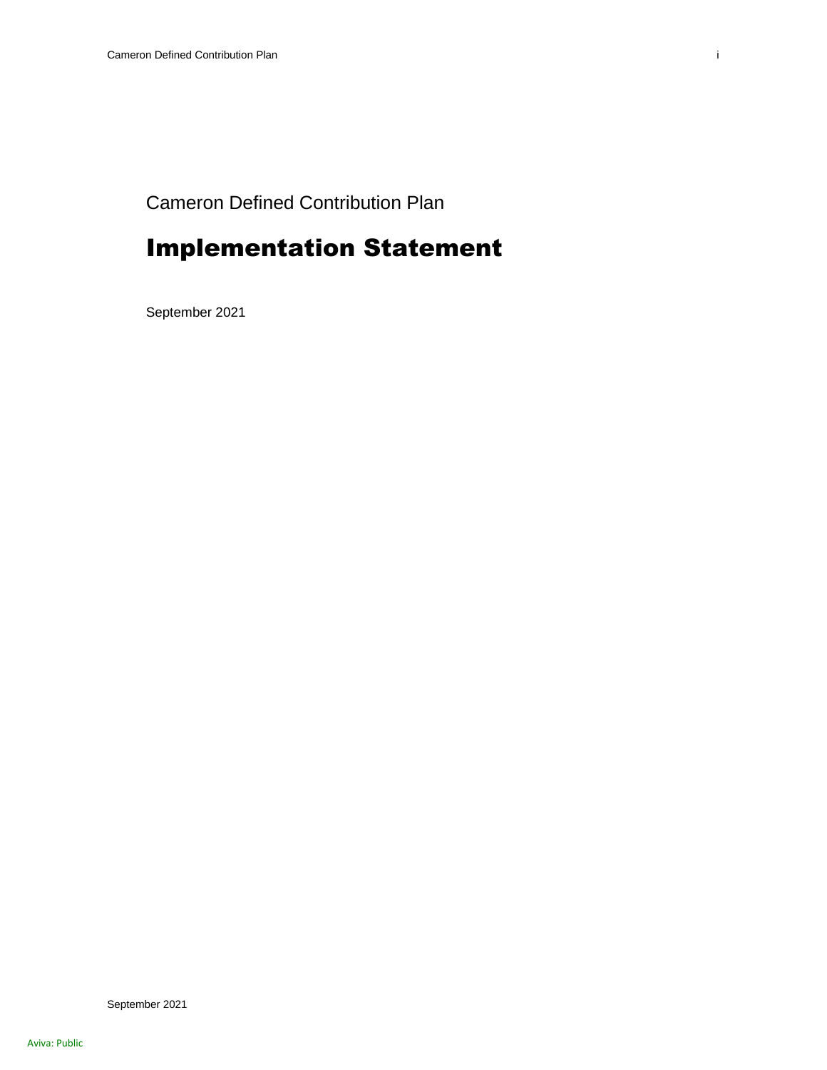### Cameron Defined Contribution Plan

### Implementation Statement

September 2021

September 2021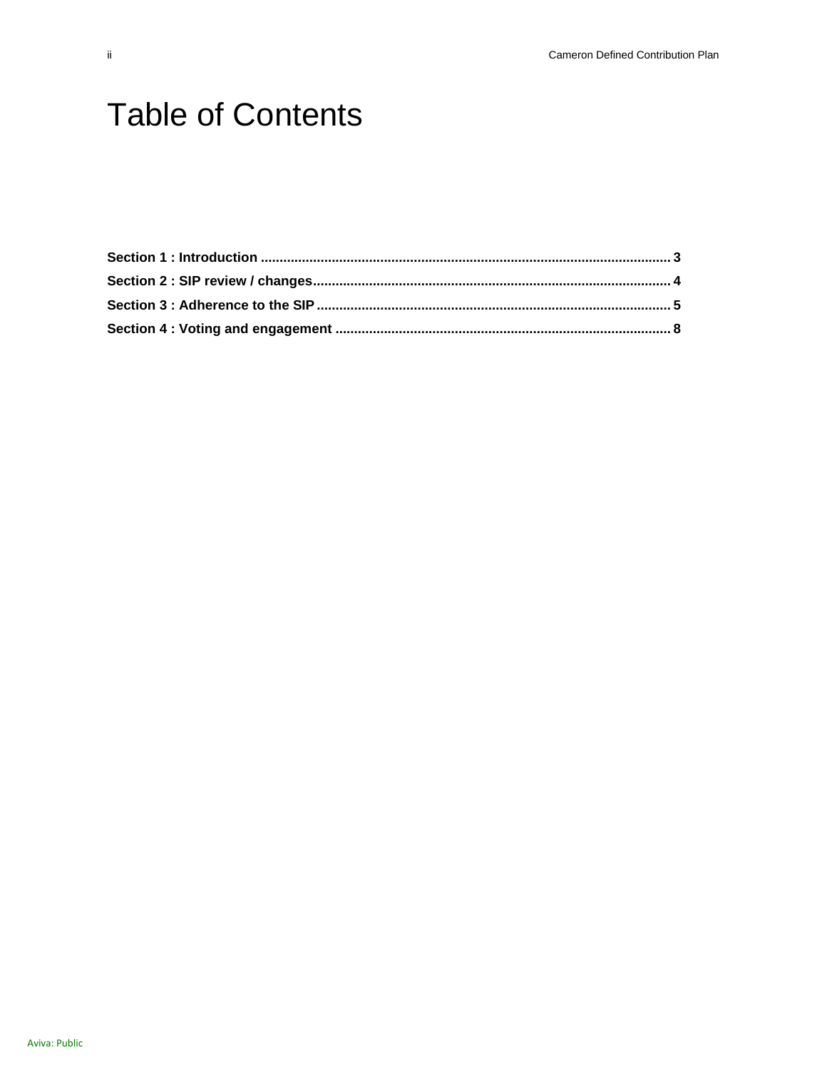# **Table of Contents**

 $\ddot{\rm n}$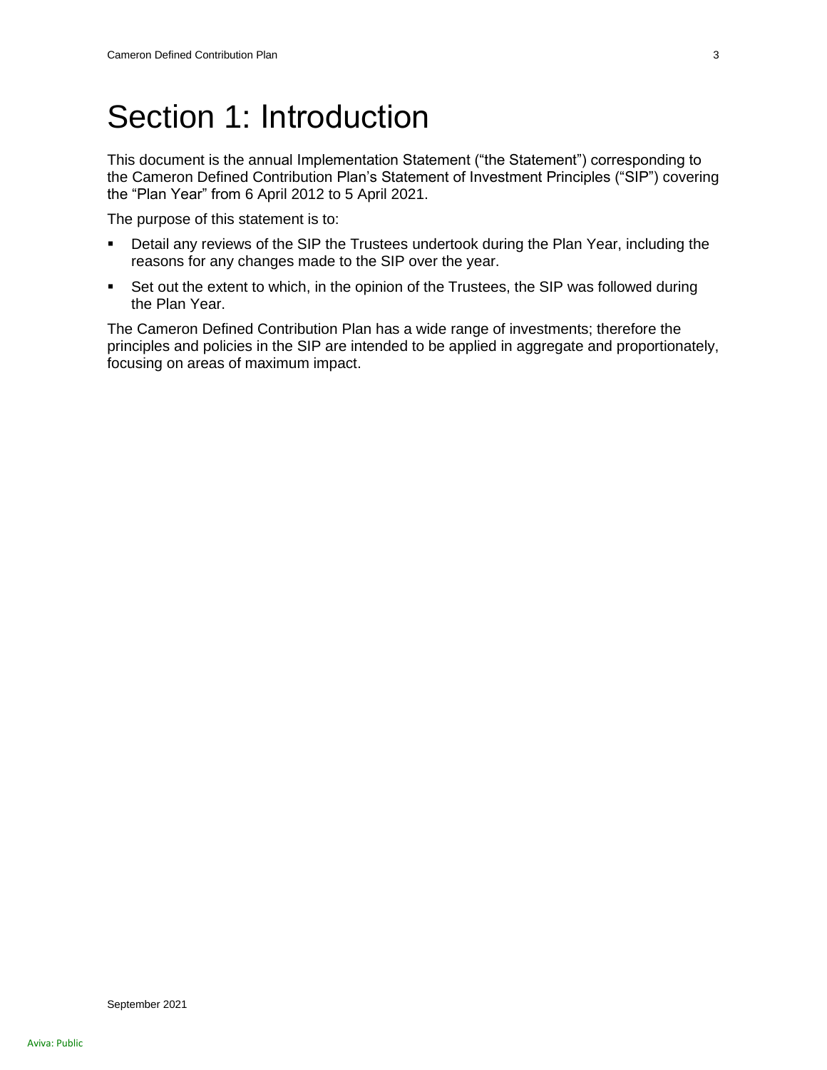# Section 1: Introduction

This document is the annual Implementation Statement ("the Statement") corresponding to the Cameron Defined Contribution Plan's Statement of Investment Principles ("SIP") covering the "Plan Year" from 6 April 2012 to 5 April 2021.

The purpose of this statement is to:

- Detail any reviews of the SIP the Trustees undertook during the Plan Year, including the reasons for any changes made to the SIP over the year.
- Set out the extent to which, in the opinion of the Trustees, the SIP was followed during the Plan Year.

The Cameron Defined Contribution Plan has a wide range of investments; therefore the principles and policies in the SIP are intended to be applied in aggregate and proportionately, focusing on areas of maximum impact.

September 2021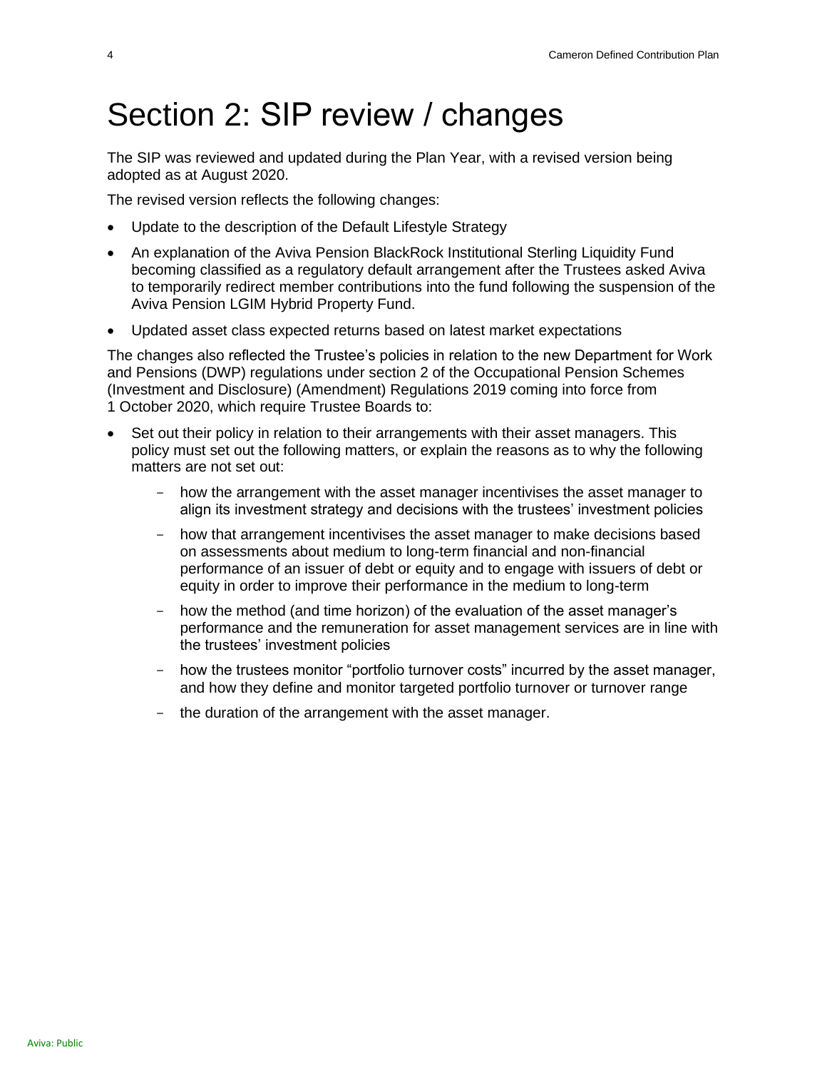## Section 2: SIP review / changes

The SIP was reviewed and updated during the Plan Year, with a revised version being adopted as at August 2020.

The revised version reflects the following changes:

- Update to the description of the Default Lifestyle Strategy
- An explanation of the Aviva Pension BlackRock Institutional Sterling Liquidity Fund becoming classified as a regulatory default arrangement after the Trustees asked Aviva to temporarily redirect member contributions into the fund following the suspension of the Aviva Pension LGIM Hybrid Property Fund.
- Updated asset class expected returns based on latest market expectations

The changes also reflected the Trustee's policies in relation to the new Department for Work and Pensions (DWP) regulations under section 2 of the Occupational Pension Schemes (Investment and Disclosure) (Amendment) Regulations 2019 coming into force from 1 October 2020, which require Trustee Boards to:

- Set out their policy in relation to their arrangements with their asset managers. This policy must set out the following matters, or explain the reasons as to why the following matters are not set out:
	- how the arrangement with the asset manager incentivises the asset manager to align its investment strategy and decisions with the trustees' investment policies
	- how that arrangement incentivises the asset manager to make decisions based on assessments about medium to long-term financial and non-financial performance of an issuer of debt or equity and to engage with issuers of debt or equity in order to improve their performance in the medium to long-term
	- how the method (and time horizon) of the evaluation of the asset manager's performance and the remuneration for asset management services are in line with the trustees' investment policies
	- how the trustees monitor "portfolio turnover costs" incurred by the asset manager, and how they define and monitor targeted portfolio turnover or turnover range
	- the duration of the arrangement with the asset manager.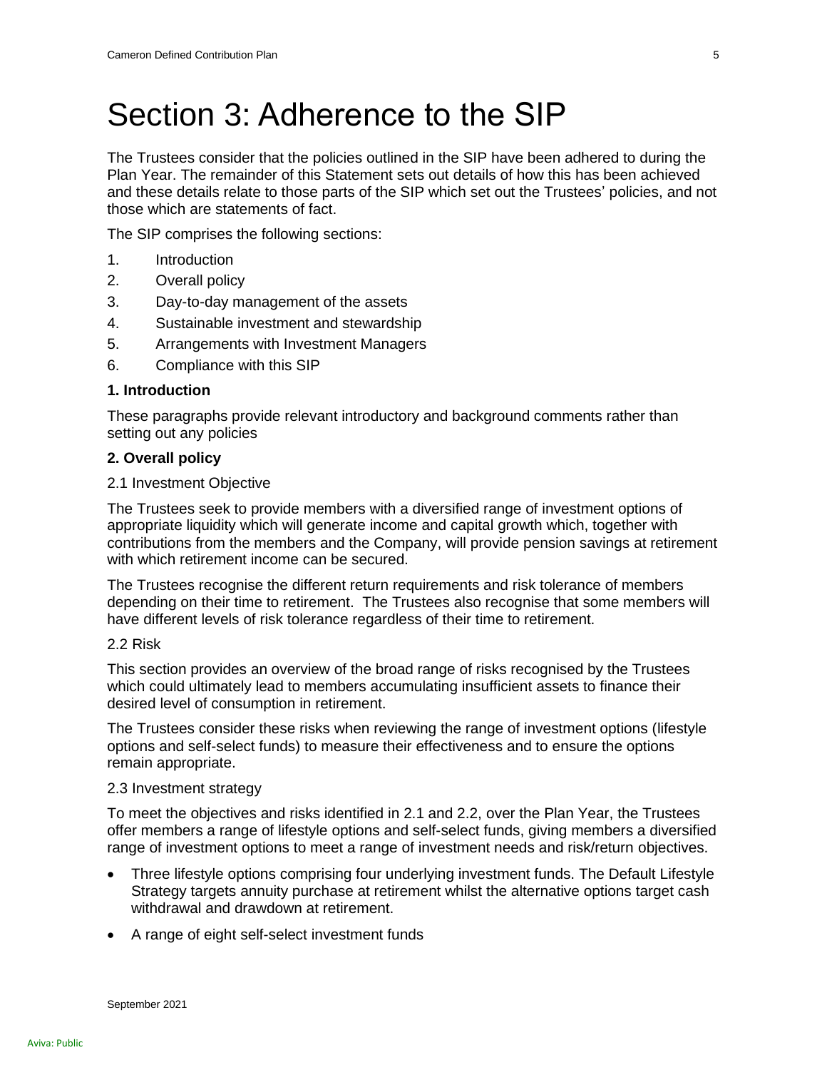# Section 3: Adherence to the SIP

The Trustees consider that the policies outlined in the SIP have been adhered to during the Plan Year. The remainder of this Statement sets out details of how this has been achieved and these details relate to those parts of the SIP which set out the Trustees' policies, and not those which are statements of fact.

The SIP comprises the following sections:

- 1. Introduction
- 2. Overall policy
- 3. Day-to-day management of the assets
- 4. Sustainable investment and stewardship
- 5. Arrangements with Investment Managers
- 6. Compliance with this SIP

#### **1. Introduction**

These paragraphs provide relevant introductory and background comments rather than setting out any policies

#### **2. Overall policy**

#### 2.1 Investment Objective

The Trustees seek to provide members with a diversified range of investment options of appropriate liquidity which will generate income and capital growth which, together with contributions from the members and the Company, will provide pension savings at retirement with which retirement income can be secured.

The Trustees recognise the different return requirements and risk tolerance of members depending on their time to retirement. The Trustees also recognise that some members will have different levels of risk tolerance regardless of their time to retirement.

#### 2.2 Risk

This section provides an overview of the broad range of risks recognised by the Trustees which could ultimately lead to members accumulating insufficient assets to finance their desired level of consumption in retirement.

The Trustees consider these risks when reviewing the range of investment options (lifestyle options and self-select funds) to measure their effectiveness and to ensure the options remain appropriate.

#### 2.3 Investment strategy

To meet the objectives and risks identified in 2.1 and 2.2, over the Plan Year, the Trustees offer members a range of lifestyle options and self-select funds, giving members a diversified range of investment options to meet a range of investment needs and risk/return objectives.

- Three lifestyle options comprising four underlying investment funds. The Default Lifestyle Strategy targets annuity purchase at retirement whilst the alternative options target cash withdrawal and drawdown at retirement.
- A range of eight self-select investment funds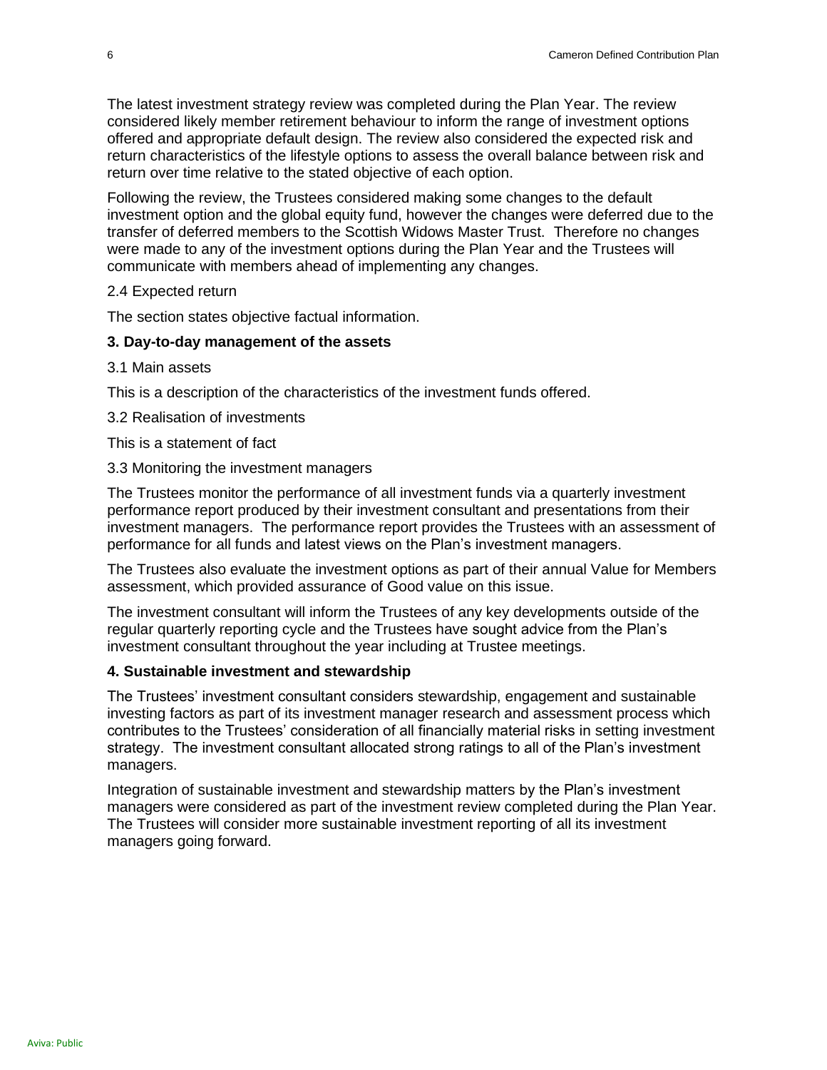The latest investment strategy review was completed during the Plan Year. The review considered likely member retirement behaviour to inform the range of investment options offered and appropriate default design. The review also considered the expected risk and return characteristics of the lifestyle options to assess the overall balance between risk and return over time relative to the stated objective of each option.

Following the review, the Trustees considered making some changes to the default investment option and the global equity fund, however the changes were deferred due to the transfer of deferred members to the Scottish Widows Master Trust. Therefore no changes were made to any of the investment options during the Plan Year and the Trustees will communicate with members ahead of implementing any changes.

#### 2.4 Expected return

The section states objective factual information.

#### **3. Day-to-day management of the assets**

#### 3.1 Main assets

This is a description of the characteristics of the investment funds offered.

3.2 Realisation of investments

This is a statement of fact

#### 3.3 Monitoring the investment managers

The Trustees monitor the performance of all investment funds via a quarterly investment performance report produced by their investment consultant and presentations from their investment managers. The performance report provides the Trustees with an assessment of performance for all funds and latest views on the Plan's investment managers.

The Trustees also evaluate the investment options as part of their annual Value for Members assessment, which provided assurance of Good value on this issue.

The investment consultant will inform the Trustees of any key developments outside of the regular quarterly reporting cycle and the Trustees have sought advice from the Plan's investment consultant throughout the year including at Trustee meetings.

#### **4. Sustainable investment and stewardship**

The Trustees' investment consultant considers stewardship, engagement and sustainable investing factors as part of its investment manager research and assessment process which contributes to the Trustees' consideration of all financially material risks in setting investment strategy. The investment consultant allocated strong ratings to all of the Plan's investment managers.

Integration of sustainable investment and stewardship matters by the Plan's investment managers were considered as part of the investment review completed during the Plan Year. The Trustees will consider more sustainable investment reporting of all its investment managers going forward.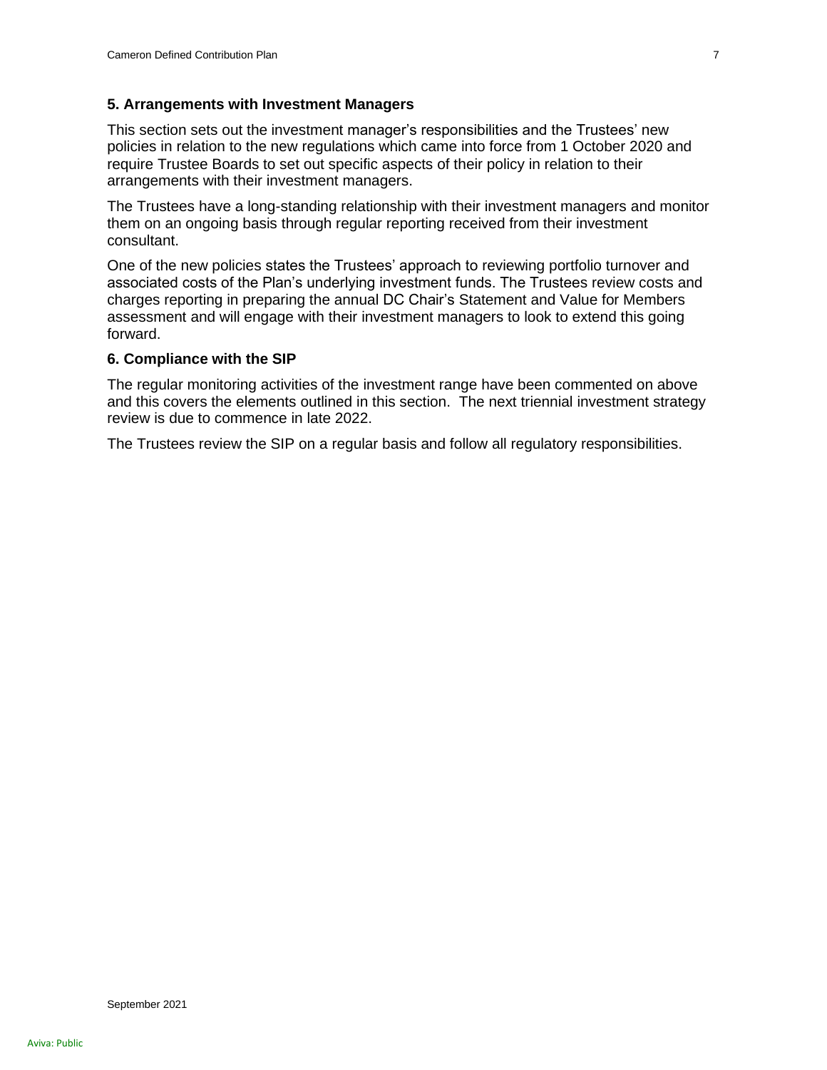#### **5. Arrangements with Investment Managers**

This section sets out the investment manager's responsibilities and the Trustees' new policies in relation to the new regulations which came into force from 1 October 2020 and require Trustee Boards to set out specific aspects of their policy in relation to their arrangements with their investment managers.

The Trustees have a long-standing relationship with their investment managers and monitor them on an ongoing basis through regular reporting received from their investment consultant.

One of the new policies states the Trustees' approach to reviewing portfolio turnover and associated costs of the Plan's underlying investment funds. The Trustees review costs and charges reporting in preparing the annual DC Chair's Statement and Value for Members assessment and will engage with their investment managers to look to extend this going forward.

#### **6. Compliance with the SIP**

The regular monitoring activities of the investment range have been commented on above and this covers the elements outlined in this section. The next triennial investment strategy review is due to commence in late 2022.

The Trustees review the SIP on a regular basis and follow all regulatory responsibilities.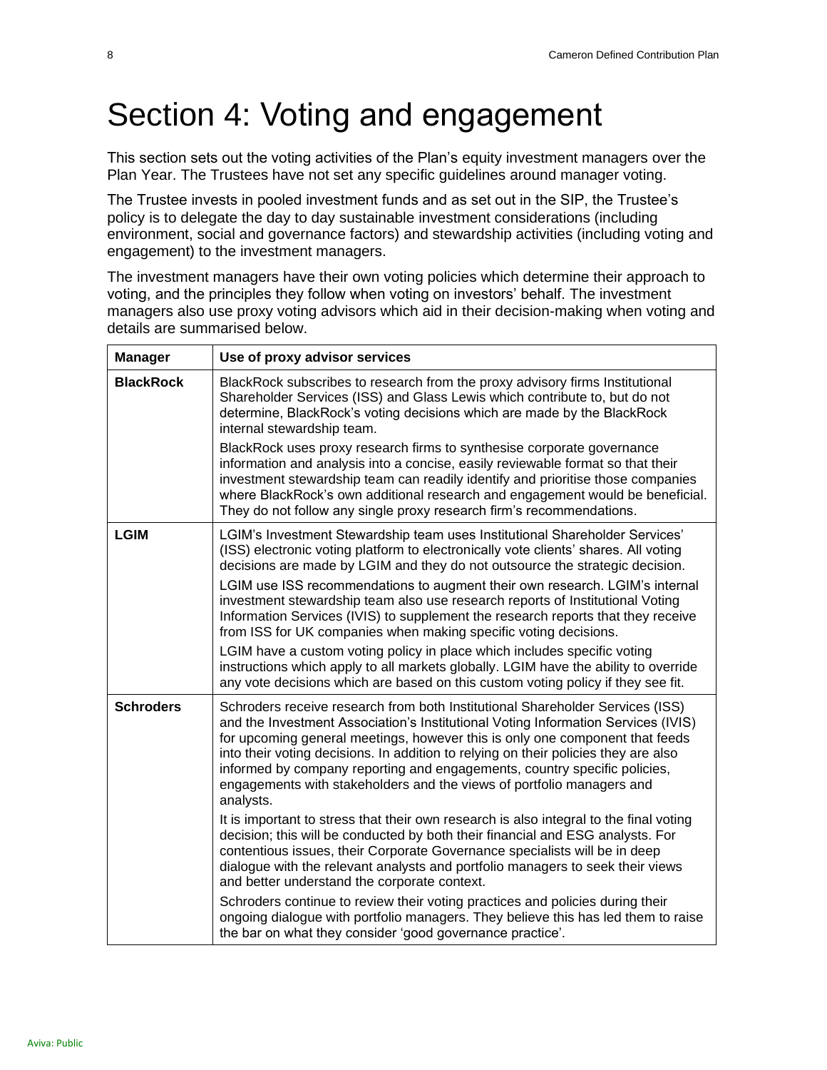## Section 4: Voting and engagement

This section sets out the voting activities of the Plan's equity investment managers over the Plan Year. The Trustees have not set any specific guidelines around manager voting.

The Trustee invests in pooled investment funds and as set out in the SIP, the Trustee's policy is to delegate the day to day sustainable investment considerations (including environment, social and governance factors) and stewardship activities (including voting and engagement) to the investment managers.

The investment managers have their own voting policies which determine their approach to voting, and the principles they follow when voting on investors' behalf. The investment managers also use proxy voting advisors which aid in their decision-making when voting and details are summarised below.

| <b>Manager</b>   | Use of proxy advisor services                                                                                                                                                                                                                                                                                                                                                                                                                                                                                                                                                                                                                                                                                                                                                                                                                                                                                                                                                             |
|------------------|-------------------------------------------------------------------------------------------------------------------------------------------------------------------------------------------------------------------------------------------------------------------------------------------------------------------------------------------------------------------------------------------------------------------------------------------------------------------------------------------------------------------------------------------------------------------------------------------------------------------------------------------------------------------------------------------------------------------------------------------------------------------------------------------------------------------------------------------------------------------------------------------------------------------------------------------------------------------------------------------|
| <b>BlackRock</b> | BlackRock subscribes to research from the proxy advisory firms Institutional<br>Shareholder Services (ISS) and Glass Lewis which contribute to, but do not<br>determine, BlackRock's voting decisions which are made by the BlackRock<br>internal stewardship team.<br>BlackRock uses proxy research firms to synthesise corporate governance                                                                                                                                                                                                                                                                                                                                                                                                                                                                                                                                                                                                                                             |
|                  | information and analysis into a concise, easily reviewable format so that their<br>investment stewardship team can readily identify and prioritise those companies<br>where BlackRock's own additional research and engagement would be beneficial.<br>They do not follow any single proxy research firm's recommendations.                                                                                                                                                                                                                                                                                                                                                                                                                                                                                                                                                                                                                                                               |
| <b>LGIM</b>      | LGIM's Investment Stewardship team uses Institutional Shareholder Services'<br>(ISS) electronic voting platform to electronically vote clients' shares. All voting<br>decisions are made by LGIM and they do not outsource the strategic decision.<br>LGIM use ISS recommendations to augment their own research. LGIM's internal<br>investment stewardship team also use research reports of Institutional Voting<br>Information Services (IVIS) to supplement the research reports that they receive<br>from ISS for UK companies when making specific voting decisions.<br>LGIM have a custom voting policy in place which includes specific voting<br>instructions which apply to all markets globally. LGIM have the ability to override<br>any vote decisions which are based on this custom voting policy if they see fit.                                                                                                                                                         |
| <b>Schroders</b> | Schroders receive research from both Institutional Shareholder Services (ISS)<br>and the Investment Association's Institutional Voting Information Services (IVIS)<br>for upcoming general meetings, however this is only one component that feeds<br>into their voting decisions. In addition to relying on their policies they are also<br>informed by company reporting and engagements, country specific policies,<br>engagements with stakeholders and the views of portfolio managers and<br>analysts.<br>It is important to stress that their own research is also integral to the final voting<br>decision; this will be conducted by both their financial and ESG analysts. For<br>contentious issues, their Corporate Governance specialists will be in deep<br>dialogue with the relevant analysts and portfolio managers to seek their views<br>and better understand the corporate context.<br>Schroders continue to review their voting practices and policies during their |
|                  | ongoing dialogue with portfolio managers. They believe this has led them to raise<br>the bar on what they consider 'good governance practice'.                                                                                                                                                                                                                                                                                                                                                                                                                                                                                                                                                                                                                                                                                                                                                                                                                                            |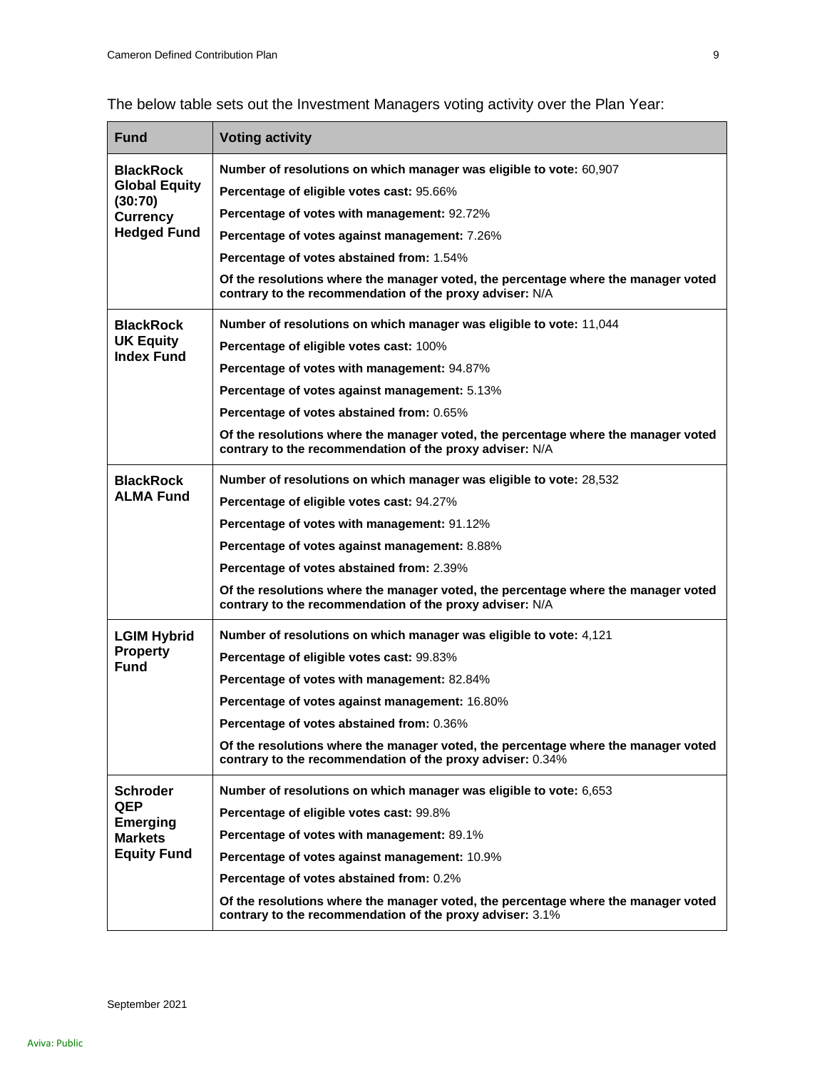The below table sets out the Investment Managers voting activity over the Plan Year:

| <b>Fund</b>                                      | <b>Voting activity</b>                                                                                                                           |
|--------------------------------------------------|--------------------------------------------------------------------------------------------------------------------------------------------------|
| <b>BlackRock</b>                                 | Number of resolutions on which manager was eligible to vote: 60,907                                                                              |
| <b>Global Equity</b>                             | Percentage of eligible votes cast: 95.66%                                                                                                        |
| (30:70)<br><b>Currency</b>                       | Percentage of votes with management: 92.72%                                                                                                      |
| <b>Hedged Fund</b>                               | Percentage of votes against management: 7.26%                                                                                                    |
|                                                  | Percentage of votes abstained from: 1.54%                                                                                                        |
|                                                  | Of the resolutions where the manager voted, the percentage where the manager voted<br>contrary to the recommendation of the proxy adviser: N/A   |
| <b>BlackRock</b>                                 | Number of resolutions on which manager was eligible to vote: 11,044                                                                              |
| <b>UK Equity</b><br><b>Index Fund</b>            | Percentage of eligible votes cast: 100%                                                                                                          |
|                                                  | Percentage of votes with management: 94.87%                                                                                                      |
|                                                  | Percentage of votes against management: 5.13%                                                                                                    |
|                                                  | Percentage of votes abstained from: 0.65%                                                                                                        |
|                                                  | Of the resolutions where the manager voted, the percentage where the manager voted<br>contrary to the recommendation of the proxy adviser: N/A   |
| <b>BlackRock</b>                                 | Number of resolutions on which manager was eligible to vote: 28,532                                                                              |
| <b>ALMA Fund</b>                                 | Percentage of eligible votes cast: 94.27%                                                                                                        |
|                                                  | Percentage of votes with management: 91.12%                                                                                                      |
|                                                  | Percentage of votes against management: 8.88%                                                                                                    |
|                                                  | Percentage of votes abstained from: 2.39%                                                                                                        |
|                                                  | Of the resolutions where the manager voted, the percentage where the manager voted<br>contrary to the recommendation of the proxy adviser: N/A   |
| <b>LGIM Hybrid</b>                               | Number of resolutions on which manager was eligible to vote: 4,121                                                                               |
| Property<br><b>Fund</b>                          | Percentage of eligible votes cast: 99.83%                                                                                                        |
|                                                  | Percentage of votes with management: 82.84%                                                                                                      |
|                                                  | Percentage of votes against management: 16.80%                                                                                                   |
|                                                  | Percentage of votes abstained from: 0.36%                                                                                                        |
|                                                  | Of the resolutions where the manager voted, the percentage where the manager voted<br>contrary to the recommendation of the proxy adviser: 0.34% |
| <b>Schroder</b>                                  | Number of resolutions on which manager was eligible to vote: 6,653                                                                               |
| QEP                                              | Percentage of eligible votes cast: 99.8%                                                                                                         |
| Emerging<br><b>Markets</b><br><b>Equity Fund</b> | Percentage of votes with management: 89.1%                                                                                                       |
|                                                  | Percentage of votes against management: 10.9%                                                                                                    |
|                                                  | Percentage of votes abstained from: 0.2%                                                                                                         |
|                                                  | Of the resolutions where the manager voted, the percentage where the manager voted<br>contrary to the recommendation of the proxy adviser: 3.1%  |

September 2021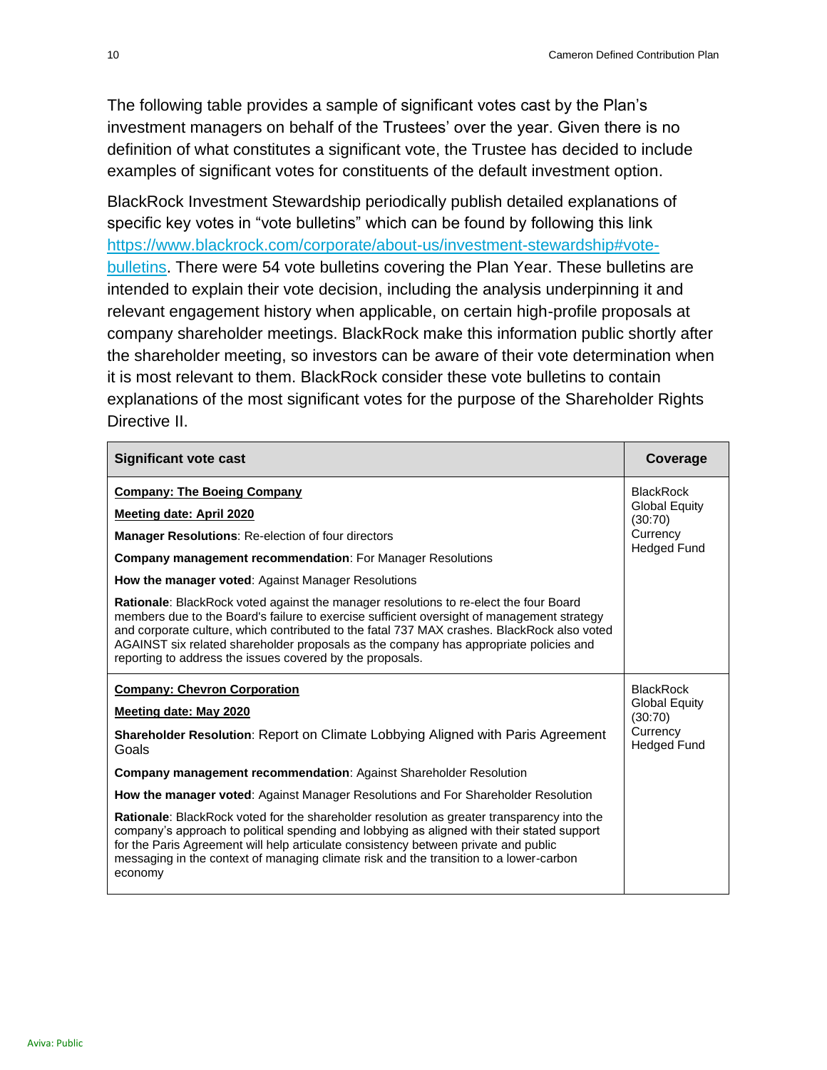The following table provides a sample of significant votes cast by the Plan's investment managers on behalf of the Trustees' over the year. Given there is no definition of what constitutes a significant vote, the Trustee has decided to include examples of significant votes for constituents of the default investment option.

BlackRock Investment Stewardship periodically publish detailed explanations of specific key votes in "vote bulletins" which can be found by following this link [https://www.blackrock.com/corporate/about-us/investment-stewardship#vote](https://www.blackrock.com/corporate/about-us/investment-stewardship#vote-bulletins)[bulletins.](https://www.blackrock.com/corporate/about-us/investment-stewardship#vote-bulletins) There were 54 vote bulletins covering the Plan Year. These bulletins are intended to explain their vote decision, including the analysis underpinning it and relevant engagement history when applicable, on certain high-profile proposals at company shareholder meetings. BlackRock make this information public shortly after the shareholder meeting, so investors can be aware of their vote determination when it is most relevant to them. BlackRock consider these vote bulletins to contain explanations of the most significant votes for the purpose of the Shareholder Rights Directive II.

| <b>Significant vote cast</b>                                                                                                                                                                                                                                                                                                                                                                                                             | Coverage                        |
|------------------------------------------------------------------------------------------------------------------------------------------------------------------------------------------------------------------------------------------------------------------------------------------------------------------------------------------------------------------------------------------------------------------------------------------|---------------------------------|
| <b>Company: The Boeing Company</b>                                                                                                                                                                                                                                                                                                                                                                                                       | <b>BlackRock</b>                |
| <b>Meeting date: April 2020</b>                                                                                                                                                                                                                                                                                                                                                                                                          | <b>Global Equity</b><br>(30:70) |
| <b>Manager Resolutions: Re-election of four directors</b>                                                                                                                                                                                                                                                                                                                                                                                | Currency                        |
| Company management recommendation: For Manager Resolutions                                                                                                                                                                                                                                                                                                                                                                               | <b>Hedged Fund</b>              |
| <b>How the manager voted: Against Manager Resolutions</b>                                                                                                                                                                                                                                                                                                                                                                                |                                 |
| Rationale: BlackRock voted against the manager resolutions to re-elect the four Board<br>members due to the Board's failure to exercise sufficient oversight of management strategy<br>and corporate culture, which contributed to the fatal 737 MAX crashes. BlackRock also voted<br>AGAINST six related shareholder proposals as the company has appropriate policies and<br>reporting to address the issues covered by the proposals. |                                 |
| <b>Company: Chevron Corporation</b><br><b>BlackRock</b>                                                                                                                                                                                                                                                                                                                                                                                  |                                 |
| Meeting date: May 2020                                                                                                                                                                                                                                                                                                                                                                                                                   | <b>Global Equity</b><br>(30:70) |
| <b>Shareholder Resolution: Report on Climate Lobbying Aligned with Paris Agreement</b><br>Goals                                                                                                                                                                                                                                                                                                                                          | Currency<br><b>Hedged Fund</b>  |
| <b>Company management recommendation: Against Shareholder Resolution</b>                                                                                                                                                                                                                                                                                                                                                                 |                                 |
| How the manager voted: Against Manager Resolutions and For Shareholder Resolution                                                                                                                                                                                                                                                                                                                                                        |                                 |
| <b>Rationale:</b> BlackRock voted for the shareholder resolution as greater transparency into the<br>company's approach to political spending and lobbying as aligned with their stated support<br>for the Paris Agreement will help articulate consistency between private and public<br>messaging in the context of managing climate risk and the transition to a lower-carbon<br>economy                                              |                                 |